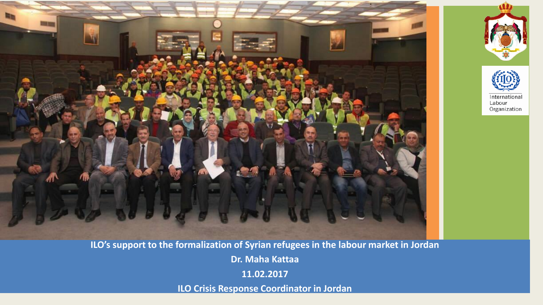



**ILO's support to the formalization of Syrian refugees in the labour market in Jordan**

**Dr. Maha Kattaa**

**11.02.2017**

**ILO Crisis Response Coordinator in Jordan**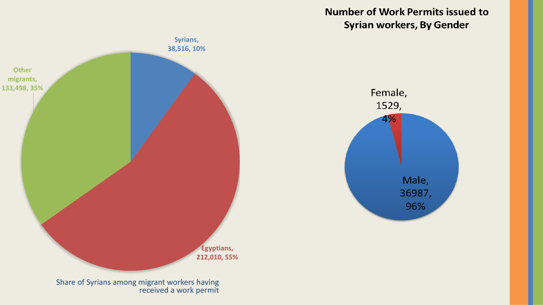**Number of Work Permits issued to Syrian workers, By Gender** 

Female,

1529,

4%

Male,

36987,

96%

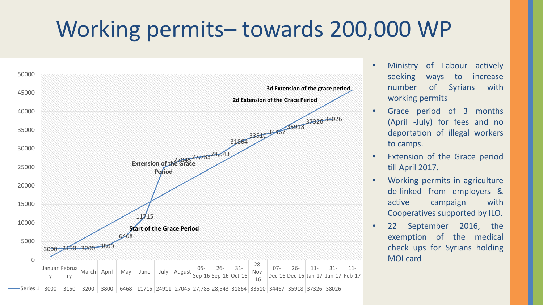## Working permits– towards 200,000 WP



- Ministry of Labour actively seeking ways to increase number of Syrians with working permits
- Grace period of 3 months (April -July) for fees and no deportation of illegal workers to camps.
- Extension of the Grace period till April 2017.
- Working permits in agriculture de-linked from employers & active campaign with Cooperatives supported by ILO.
- 22 September 2016, the exemption of the medical check ups for Syrians holding MOI card